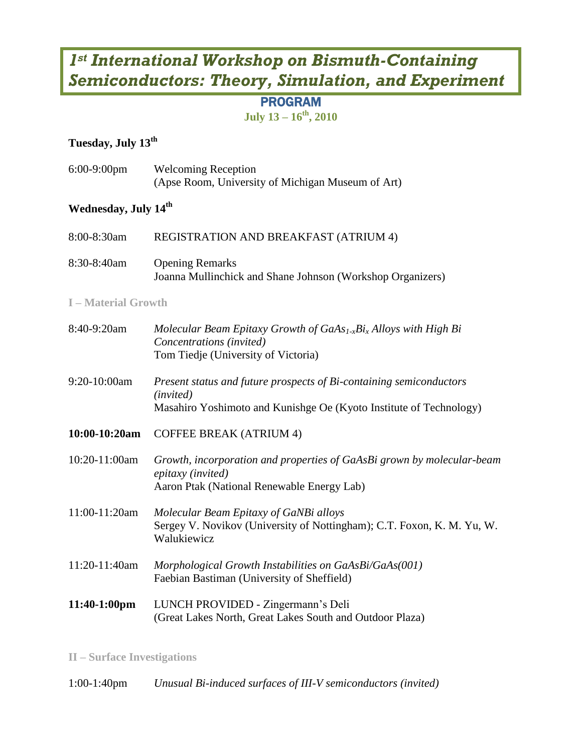# *1st International Workshop on Bismuth-Containing Semiconductors: Theory, Simulation, and Experiment*

# PROGRAM

**July 13 – 16th, 2010**

# **Tuesday, July 13th**

| $6:00-9:00$ pm                   | <b>Welcoming Reception</b><br>(Apse Room, University of Michigan Museum of Art)                                                                        |
|----------------------------------|--------------------------------------------------------------------------------------------------------------------------------------------------------|
| Wednesday, July 14 <sup>th</sup> |                                                                                                                                                        |
| 8:00-8:30am                      | REGISTRATION AND BREAKFAST (ATRIUM 4)                                                                                                                  |
| 8:30-8:40am                      | <b>Opening Remarks</b><br>Joanna Mullinchick and Shane Johnson (Workshop Organizers)                                                                   |
| <b>I-Material Growth</b>         |                                                                                                                                                        |
| 8:40-9:20am                      | Molecular Beam Epitaxy Growth of $GaAs_{1x}Bi_x$ Alloys with High Bi<br>Concentrations (invited)<br>Tom Tiedje (University of Victoria)                |
| 9:20-10:00am                     | Present status and future prospects of Bi-containing semiconductors<br>(invited)<br>Masahiro Yoshimoto and Kunishge Oe (Kyoto Institute of Technology) |
| 10:00-10:20am                    | <b>COFFEE BREAK (ATRIUM 4)</b>                                                                                                                         |
| 10:20-11:00am                    | Growth, incorporation and properties of GaAsBi grown by molecular-beam<br>epitaxy (invited)<br>Aaron Ptak (National Renewable Energy Lab)              |
| 11:00-11:20am                    | Molecular Beam Epitaxy of GaNBi alloys<br>Sergey V. Novikov (University of Nottingham); C.T. Foxon, K. M. Yu, W.<br>Walukiewicz                        |
| 11:20-11:40am                    | Morphological Growth Instabilities on GaAsBi/GaAs(001)<br>Faebian Bastiman (University of Sheffield)                                                   |
| 11:40-1:00pm                     | LUNCH PROVIDED - Zingermann's Deli<br>(Great Lakes North, Great Lakes South and Outdoor Plaza)                                                         |

**II – Surface Investigations**

1:00-1:40pm *Unusual Bi-induced surfaces of III-V semiconductors (invited)*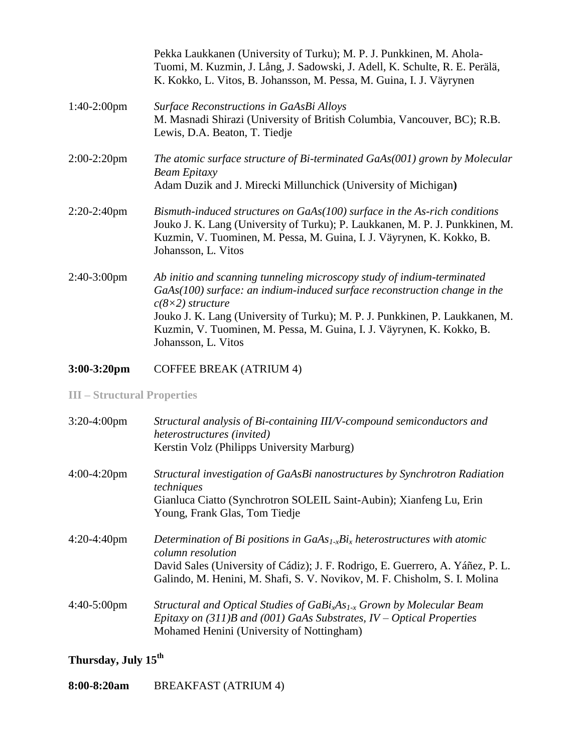|                | Pekka Laukkanen (University of Turku); M. P. J. Punkkinen, M. Ahola-<br>Tuomi, M. Kuzmin, J. Lång, J. Sadowski, J. Adell, K. Schulte, R. E. Perälä,<br>K. Kokko, L. Vitos, B. Johansson, M. Pessa, M. Guina, I. J. Väyrynen                                                                                                                                    |
|----------------|----------------------------------------------------------------------------------------------------------------------------------------------------------------------------------------------------------------------------------------------------------------------------------------------------------------------------------------------------------------|
| $1:40-2:00$ pm | Surface Reconstructions in GaAsBi Alloys<br>M. Masnadi Shirazi (University of British Columbia, Vancouver, BC); R.B.<br>Lewis, D.A. Beaton, T. Tiedje                                                                                                                                                                                                          |
| $2:00-2:20$ pm | The atomic surface structure of Bi-terminated $GaAs(001)$ grown by Molecular<br><b>Beam Epitaxy</b><br>Adam Duzik and J. Mirecki Millunchick (University of Michigan)                                                                                                                                                                                          |
| $2:20-2:40$ pm | Bismuth-induced structures on GaAs(100) surface in the As-rich conditions<br>Jouko J. K. Lang (University of Turku); P. Laukkanen, M. P. J. Punkkinen, M.<br>Kuzmin, V. Tuominen, M. Pessa, M. Guina, I. J. Väyrynen, K. Kokko, B.<br>Johansson, L. Vitos                                                                                                      |
| $2:40-3:00$ pm | Ab initio and scanning tunneling microscopy study of indium-terminated<br>GaAs(100) surface: an indium-induced surface reconstruction change in the<br>$c(8\times2)$ structure<br>Jouko J. K. Lang (University of Turku); M. P. J. Punkkinen, P. Laukkanen, M.<br>Kuzmin, V. Tuominen, M. Pessa, M. Guina, I. J. Väyrynen, K. Kokko, B.<br>Johansson, L. Vitos |

**3:00-3:20pm** COFFEE BREAK (ATRIUM 4)

**III – Structural Properties**

| $3:20-4:00$ pm | Structural analysis of Bi-containing III/V-compound semiconductors and<br>heterostructures (invited)<br>Kerstin Volz (Philipps University Marburg)                                                                                                                |
|----------------|-------------------------------------------------------------------------------------------------------------------------------------------------------------------------------------------------------------------------------------------------------------------|
| $4:00-4:20$ pm | Structural investigation of GaAsBi nanostructures by Synchrotron Radiation<br>techniques<br>Gianluca Ciatto (Synchrotron SOLEIL Saint-Aubin); Xianfeng Lu, Erin<br>Young, Frank Glas, Tom Tiedje                                                                  |
| $4:20-4:40$ pm | Determination of Bi positions in $GaAs_{1x}Bi_x$ heterostructures with atomic<br>column resolution<br>David Sales (University of Cádiz); J. F. Rodrigo, E. Guerrero, A. Yáñez, P. L.<br>Galindo, M. Henini, M. Shafi, S. V. Novikov, M. F. Chisholm, S. I. Molina |
| $4:40-5:00$ pm | Structural and Optical Studies of $GaBixAs1-x$ Grown by Molecular Beam<br>Epitaxy on $(311)$ B and $(001)$ GaAs Substrates, IV – Optical Properties<br>Mohamed Henini (University of Nottingham)                                                                  |

#### **Thursday, July 15 th**

**8:00-8:20am** BREAKFAST (ATRIUM 4)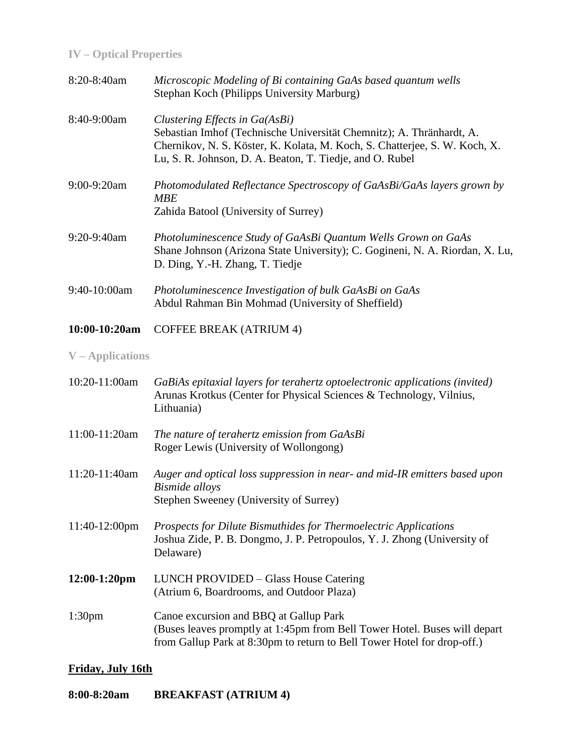## **IV – Optical Properties**

| 8:20-8:40am     | Microscopic Modeling of Bi containing GaAs based quantum wells<br>Stephan Koch (Philipps University Marburg)                                                                                                                                     |
|-----------------|--------------------------------------------------------------------------------------------------------------------------------------------------------------------------------------------------------------------------------------------------|
| 8:40-9:00am     | Clustering Effects in Ga(AsBi)<br>Sebastian Imhof (Technische Universität Chemnitz); A. Thränhardt, A.<br>Chernikov, N. S. Köster, K. Kolata, M. Koch, S. Chatterjee, S. W. Koch, X.<br>Lu, S. R. Johnson, D. A. Beaton, T. Tiedje, and O. Rubel |
| $9:00-9:20$ am  | Photomodulated Reflectance Spectroscopy of GaAsBi/GaAs layers grown by<br><b>MBE</b><br>Zahida Batool (University of Surrey)                                                                                                                     |
| 9:20-9:40am     | Photoluminescence Study of GaAsBi Quantum Wells Grown on GaAs<br>Shane Johnson (Arizona State University); C. Gogineni, N. A. Riordan, X. Lu,<br>D. Ding, Y.-H. Zhang, T. Tiedje                                                                 |
| 9:40-10:00am    | Photoluminescence Investigation of bulk GaAsBi on GaAs<br>Abdul Rahman Bin Mohmad (University of Sheffield)                                                                                                                                      |
| $10:00-10:20am$ | <b>COFFEE BREAK (ATRIUM 4)</b>                                                                                                                                                                                                                   |

#### **V – Applications**

| 10:20-11:00am      | GaBiAs epitaxial layers for terahertz optoelectronic applications (invited)<br>Arunas Krotkus (Center for Physical Sciences & Technology, Vilnius,<br>Lithuania)                               |
|--------------------|------------------------------------------------------------------------------------------------------------------------------------------------------------------------------------------------|
| 11:00-11:20am      | The nature of terahertz emission from GaAsBi<br>Roger Lewis (University of Wollongong)                                                                                                         |
| 11:20-11:40am      | Auger and optical loss suppression in near- and mid-IR emitters based upon<br><b>Bismide</b> alloys<br>Stephen Sweeney (University of Surrey)                                                  |
| $11:40-12:00$ pm   | Prospects for Dilute Bismuthides for Thermoelectric Applications<br>Joshua Zide, P. B. Dongmo, J. P. Petropoulos, Y. J. Zhong (University of<br>Delaware)                                      |
| $12:00-1:20$ pm    | LUNCH PROVIDED – Glass House Catering<br>(Atrium 6, Boardrooms, and Outdoor Plaza)                                                                                                             |
| 1:30 <sub>pm</sub> | Canoe excursion and BBQ at Gallup Park<br>(Buses leaves promptly at 1:45pm from Bell Tower Hotel. Buses will depart<br>from Gallup Park at 8:30pm to return to Bell Tower Hotel for drop-off.) |

#### **Friday, July 16th**

**8:00-8:20am BREAKFAST (ATRIUM 4)**